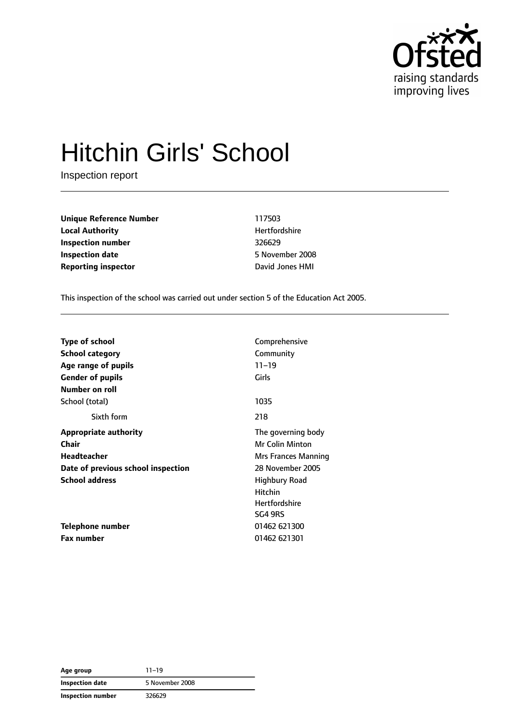

# Hitchin Girls' School

Inspection report

**Unique Reference Number** 117503 **Local Authority Material Authority Hertfordshire Inspection number** 326629 **Inspection date** 5 November 2008 **Reporting inspector David Jones HMI** 

This inspection of the school was carried out under section 5 of the Education Act 2005.

| <b>Type of school</b>              | Comprehensive          |
|------------------------------------|------------------------|
| <b>School category</b>             | Community              |
| Age range of pupils                | $11 - 19$              |
| <b>Gender of pupils</b>            | Girls                  |
| Number on roll                     |                        |
| School (total)                     | 1035                   |
| Sixth form                         | 218                    |
| <b>Appropriate authority</b>       | The governing body     |
| Chair                              | <b>Mr Colin Minton</b> |
| Headteacher                        | Mrs Frances Manning    |
| Date of previous school inspection | 28 November 2005       |
| <b>School address</b>              | <b>Highbury Road</b>   |
|                                    | <b>Hitchin</b>         |
|                                    | <b>Hertfordshire</b>   |
|                                    | SG4 9RS                |
| Telephone number                   | 01462 621300           |
| Fax number                         | 01462 621301           |

**Age group** 11–19 **Inspection date** 5 November 2008 **Inspection number** 326629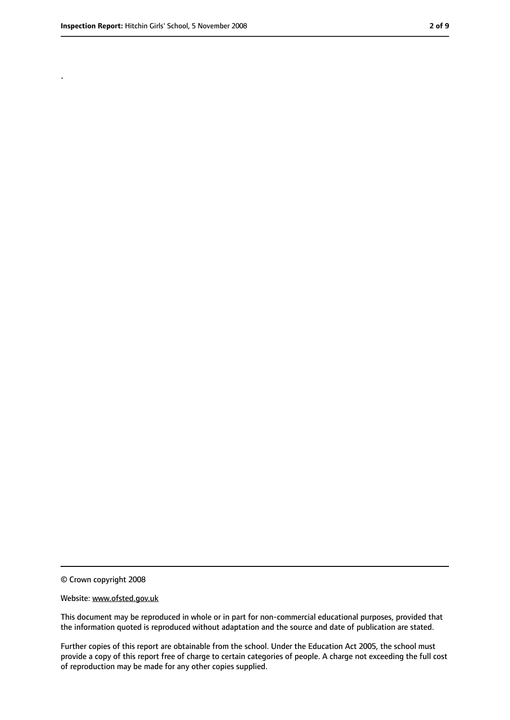.

<sup>©</sup> Crown copyright 2008

Website: www.ofsted.gov.uk

This document may be reproduced in whole or in part for non-commercial educational purposes, provided that the information quoted is reproduced without adaptation and the source and date of publication are stated.

Further copies of this report are obtainable from the school. Under the Education Act 2005, the school must provide a copy of this report free of charge to certain categories of people. A charge not exceeding the full cost of reproduction may be made for any other copies supplied.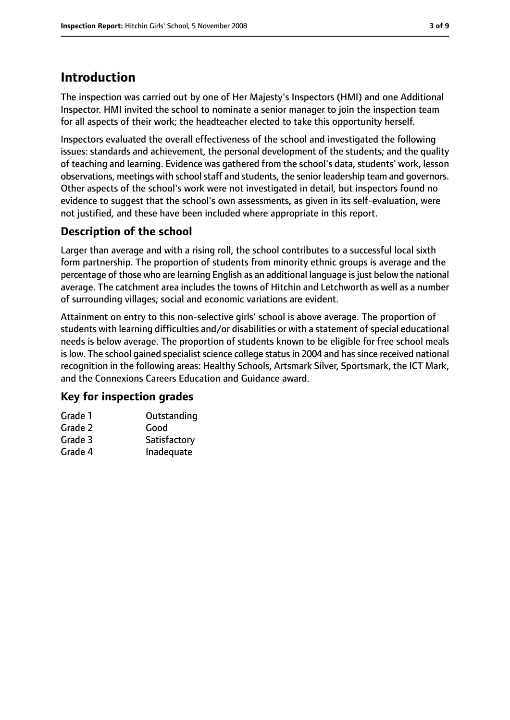## **Introduction**

The inspection was carried out by one of Her Majesty's Inspectors (HMI) and one Additional Inspector. HMI invited the school to nominate a senior manager to join the inspection team for all aspects of their work; the headteacher elected to take this opportunity herself.

Inspectors evaluated the overall effectiveness of the school and investigated the following issues: standards and achievement, the personal development of the students; and the quality of teaching and learning. Evidence was gathered from the school's data, students' work, lesson observations, meetings with school staff and students, the senior leadership team and governors. Other aspects of the school's work were not investigated in detail, but inspectors found no evidence to suggest that the school's own assessments, as given in its self-evaluation, were not justified, and these have been included where appropriate in this report.

## **Description of the school**

Larger than average and with a rising roll, the school contributes to a successful local sixth form partnership. The proportion of students from minority ethnic groups is average and the percentage of those who are learning English as an additional language is just below the national average. The catchment area includes the towns of Hitchin and Letchworth as well as a number of surrounding villages; social and economic variations are evident.

Attainment on entry to this non-selective girls' school is above average. The proportion of students with learning difficulties and/or disabilities or with a statement of special educational needs is below average. The proportion of students known to be eligible for free school meals is low. The school gained specialist science college status in 2004 and has since received national recognition in the following areas: Healthy Schools, Artsmark Silver, Sportsmark, the ICT Mark, and the Connexions Careers Education and Guidance award.

### **Key for inspection grades**

| Grade 1 | Outstanding  |
|---------|--------------|
| Grade 2 | Good         |
| Grade 3 | Satisfactory |
| Grade 4 | Inadequate   |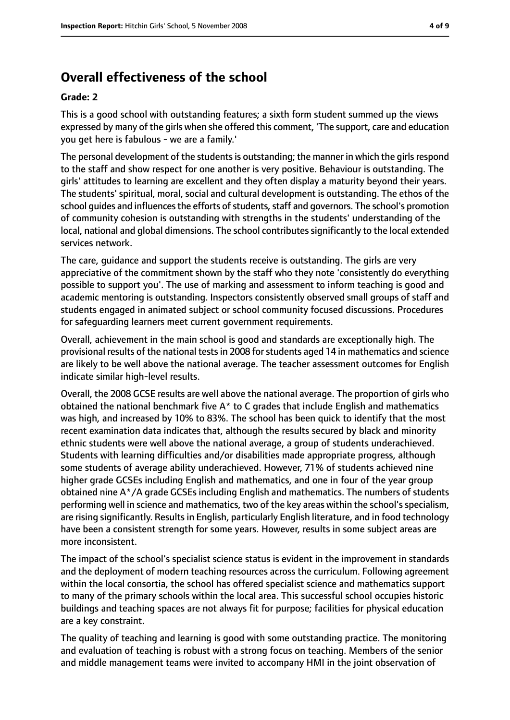## **Overall effectiveness of the school**

#### **Grade: 2**

This is a good school with outstanding features; a sixth form student summed up the views expressed by many of the girls when she offered this comment, 'The support, care and education you get here is fabulous - we are a family.'

The personal development of the students is outstanding; the manner in which the girls respond to the staff and show respect for one another is very positive. Behaviour is outstanding. The girls' attitudes to learning are excellent and they often display a maturity beyond their years. The students' spiritual, moral, social and cultural development is outstanding. The ethos of the school guides and influences the efforts of students, staff and governors. The school's promotion of community cohesion is outstanding with strengths in the students' understanding of the local, national and global dimensions. The school contributes significantly to the local extended services network.

The care, guidance and support the students receive is outstanding. The girls are very appreciative of the commitment shown by the staff who they note 'consistently do everything possible to support you'. The use of marking and assessment to inform teaching is good and academic mentoring is outstanding. Inspectors consistently observed small groups of staff and students engaged in animated subject or school community focused discussions. Procedures for safeguarding learners meet current government requirements.

Overall, achievement in the main school is good and standards are exceptionally high. The provisional results of the national testsin 2008 forstudents aged 14 in mathematics and science are likely to be well above the national average. The teacher assessment outcomes for English indicate similar high-level results.

Overall, the 2008 GCSE results are well above the national average. The proportion of girls who obtained the national benchmark five  $A^*$  to C grades that include English and mathematics was high, and increased by 10% to 83%. The school has been quick to identify that the most recent examination data indicates that, although the results secured by black and minority ethnic students were well above the national average, a group of students underachieved. Students with learning difficulties and/or disabilities made appropriate progress, although some students of average ability underachieved. However, 71% of students achieved nine higher grade GCSEs including English and mathematics, and one in four of the year group obtained nine A\*/A grade GCSEs including English and mathematics. The numbers of students performing well in science and mathematics, two of the key areas within the school'sspecialism, are rising significantly. Results in English, particularly English literature, and in food technology have been a consistent strength for some years. However, results in some subject areas are more inconsistent.

The impact of the school's specialist science status is evident in the improvement in standards and the deployment of modern teaching resources across the curriculum. Following agreement within the local consortia, the school has offered specialist science and mathematics support to many of the primary schools within the local area. This successful school occupies historic buildings and teaching spaces are not always fit for purpose; facilities for physical education are a key constraint.

The quality of teaching and learning is good with some outstanding practice. The monitoring and evaluation of teaching is robust with a strong focus on teaching. Members of the senior and middle management teams were invited to accompany HMI in the joint observation of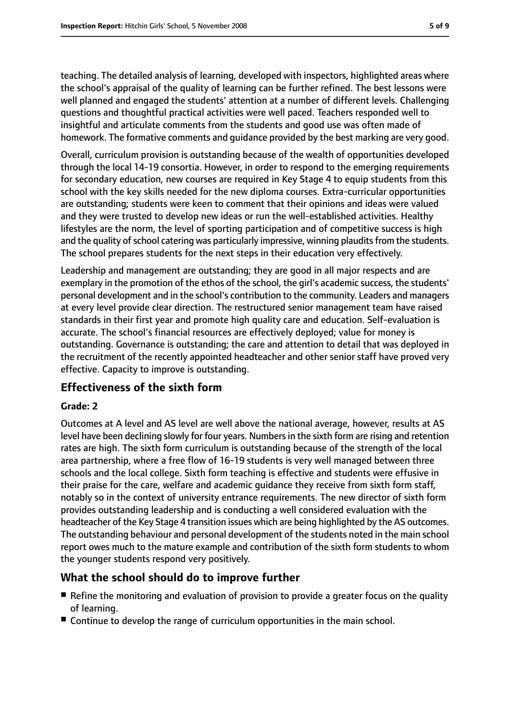teaching. The detailed analysis of learning, developed with inspectors, highlighted areas where the school's appraisal of the quality of learning can be further refined. The best lessons were well planned and engaged the students' attention at a number of different levels. Challenging questions and thoughtful practical activities were well paced. Teachers responded well to insightful and articulate comments from the students and good use was often made of homework. The formative comments and guidance provided by the best marking are very good.

Overall, curriculum provision is outstanding because of the wealth of opportunities developed through the local 14-19 consortia. However, in order to respond to the emerging requirements for secondary education, new courses are required in Key Stage 4 to equip students from this school with the key skills needed for the new diploma courses. Extra-curricular opportunities are outstanding; students were keen to comment that their opinions and ideas were valued and they were trusted to develop new ideas or run the well-established activities. Healthy lifestyles are the norm, the level of sporting participation and of competitive success is high and the quality of school catering was particularly impressive, winning plaudits from the students. The school prepares students for the next steps in their education very effectively.

Leadership and management are outstanding; they are good in all major respects and are exemplary in the promotion of the ethos of the school, the girl's academic success, the students' personal development and in the school's contribution to the community. Leaders and managers at every level provide clear direction. The restructured senior management team have raised standards in their first year and promote high quality care and education. Self-evaluation is accurate. The school's financial resources are effectively deployed; value for money is outstanding. Governance is outstanding; the care and attention to detail that was deployed in the recruitment of the recently appointed headteacher and other senior staff have proved very effective. Capacity to improve is outstanding.

### **Effectiveness of the sixth form**

#### **Grade: 2**

Outcomes at A level and AS level are well above the national average, however, results at AS level have been declining slowly for four years. Numbersin the sixth form are rising and retention rates are high. The sixth form curriculum is outstanding because of the strength of the local area partnership, where a free flow of 16-19 students is very well managed between three schools and the local college. Sixth form teaching is effective and students were effusive in their praise for the care, welfare and academic guidance they receive from sixth form staff, notably so in the context of university entrance requirements. The new director of sixth form provides outstanding leadership and is conducting a well considered evaluation with the headteacher of the Key Stage 4 transition issues which are being highlighted by the AS outcomes. The outstanding behaviour and personal development of the students noted in the main school report owes much to the mature example and contribution of the sixth form students to whom the younger students respond very positively.

#### **What the school should do to improve further**

- Refine the monitoring and evaluation of provision to provide a greater focus on the quality of learning.
- Continue to develop the range of curriculum opportunities in the main school.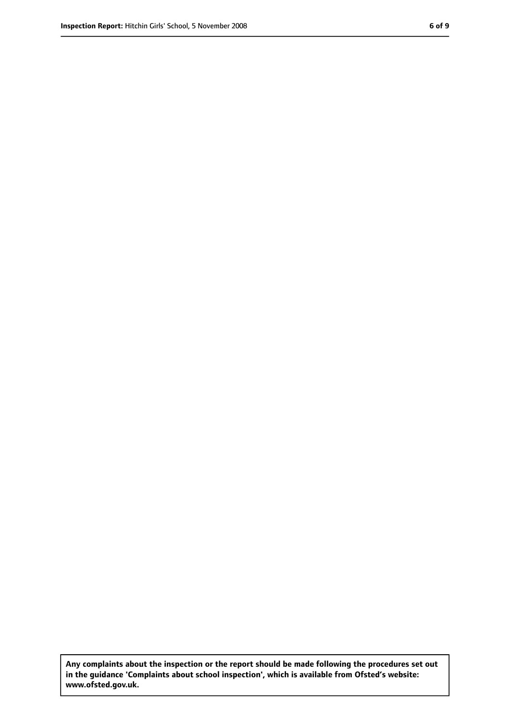**Any complaints about the inspection or the report should be made following the procedures set out in the guidance 'Complaints about school inspection', which is available from Ofsted's website: www.ofsted.gov.uk.**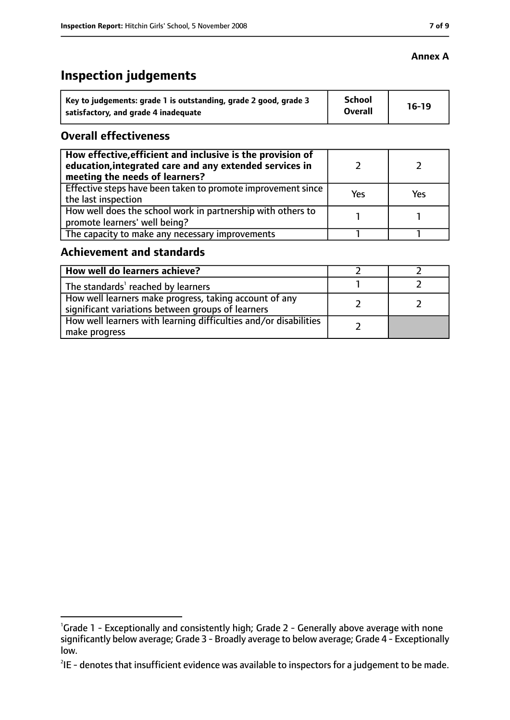# **Inspection judgements**

| Key to judgements: grade 1 is outstanding, grade 2 good, grade 3 | <b>School</b><br><b>Overall</b> | $16-19$ |
|------------------------------------------------------------------|---------------------------------|---------|
| satisfactory, and grade 4 inadequate                             |                                 |         |

#### **Overall effectiveness**

| How effective, efficient and inclusive is the provision of<br>education, integrated care and any extended services in<br>meeting the needs of learners? |     |     |
|---------------------------------------------------------------------------------------------------------------------------------------------------------|-----|-----|
| Effective steps have been taken to promote improvement since<br>the last inspection                                                                     | Yes | Yes |
| How well does the school work in partnership with others to<br>promote learners' well being?                                                            |     |     |
| The capacity to make any necessary improvements                                                                                                         |     |     |

#### **Achievement and standards**

| How well do learners achieve?                                                                               |  |
|-------------------------------------------------------------------------------------------------------------|--|
| The standards <sup>1</sup> reached by learners                                                              |  |
| How well learners make progress, taking account of any<br>significant variations between groups of learners |  |
| How well learners with learning difficulties and/or disabilities<br>make progress                           |  |

### **Annex A**

<sup>&</sup>lt;sup>1</sup>Grade 1 - Exceptionally and consistently high; Grade 2 - Generally above average with none significantly below average; Grade 3 - Broadly average to below average; Grade 4 - Exceptionally low.

 $^{2}$ IE - denotes that insufficient evidence was available to inspectors for a judgement to be made.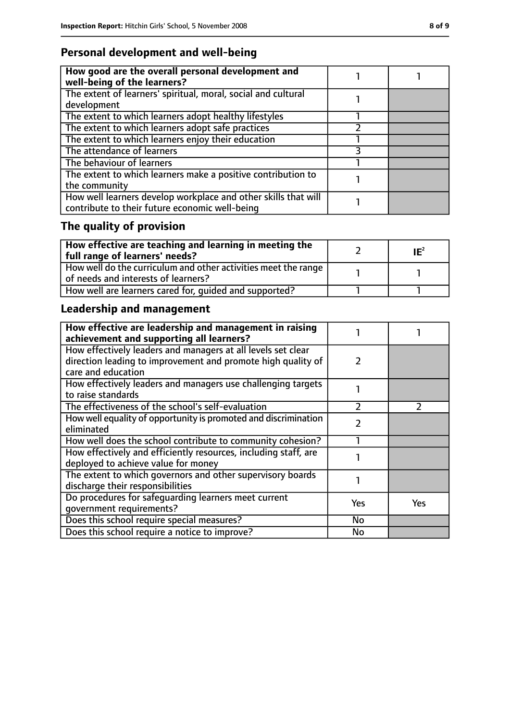## **Personal development and well-being**

| How good are the overall personal development and<br>well-being of the learners?                                 |  |
|------------------------------------------------------------------------------------------------------------------|--|
| The extent of learners' spiritual, moral, social and cultural<br>development                                     |  |
| The extent to which learners adopt healthy lifestyles                                                            |  |
| The extent to which learners adopt safe practices                                                                |  |
| The extent to which learners enjoy their education                                                               |  |
| The attendance of learners                                                                                       |  |
| The behaviour of learners                                                                                        |  |
| The extent to which learners make a positive contribution to<br>the community                                    |  |
| How well learners develop workplace and other skills that will<br>contribute to their future economic well-being |  |

# **The quality of provision**

| $\mid$ How effective are teaching and learning in meeting the<br>full range of learners' needs?       | $IE^2$ |
|-------------------------------------------------------------------------------------------------------|--------|
| How well do the curriculum and other activities meet the range<br>of needs and interests of learners? |        |
| How well are learners cared for, quided and supported?                                                |        |

# **Leadership and management**

| How effective are leadership and management in raising<br>achievement and supporting all learners? |               |     |
|----------------------------------------------------------------------------------------------------|---------------|-----|
| How effectively leaders and managers at all levels set clear                                       |               |     |
| direction leading to improvement and promote high quality of<br>care and education                 | $\mathcal{L}$ |     |
| How effectively leaders and managers use challenging targets                                       |               |     |
| to raise standards                                                                                 |               |     |
| The effectiveness of the school's self-evaluation                                                  | $\mathcal{P}$ |     |
| How well equality of opportunity is promoted and discrimination                                    | $\mathcal{P}$ |     |
| eliminated                                                                                         |               |     |
| How well does the school contribute to community cohesion?                                         |               |     |
| How effectively and efficiently resources, including staff, are                                    |               |     |
| deployed to achieve value for money                                                                |               |     |
| The extent to which governors and other supervisory boards                                         |               |     |
| discharge their responsibilities                                                                   |               |     |
| Do procedures for safeguarding learners meet current                                               | Yes           | Yes |
| qovernment requirements?                                                                           |               |     |
| Does this school require special measures?                                                         | No            |     |
| Does this school require a notice to improve?                                                      | No            |     |